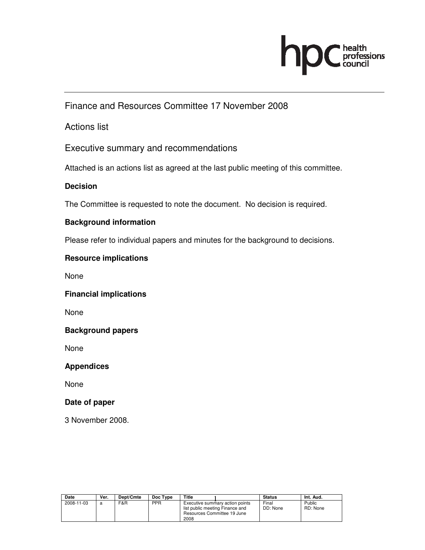

Finance and Resources Committee 17 November 2008

Actions list

Executive summary and recommendations

Attached is an actions list as agreed at the last public meeting of this committee.

### **Decision**

The Committee is requested to note the document. No decision is required.

#### **Background information**

Please refer to individual papers and minutes for the background to decisions.

#### **Resource implications**

None

#### **Financial implications**

None

#### **Background papers**

None

#### **Appendices**

None

#### **Date of paper**

3 November 2008.

| Date       | Ver. | Dept/Cmte | Doc Type   | Title                                   |                                                                | <b>Status</b>     | Int. Aud.          |
|------------|------|-----------|------------|-----------------------------------------|----------------------------------------------------------------|-------------------|--------------------|
| 2008-11-03 |      | F&R       | <b>PPR</b> | list public meeting Finance and<br>2008 | Executive summary action points<br>Resources Committee 19 June | Final<br>DD: None | Public<br>RD: None |